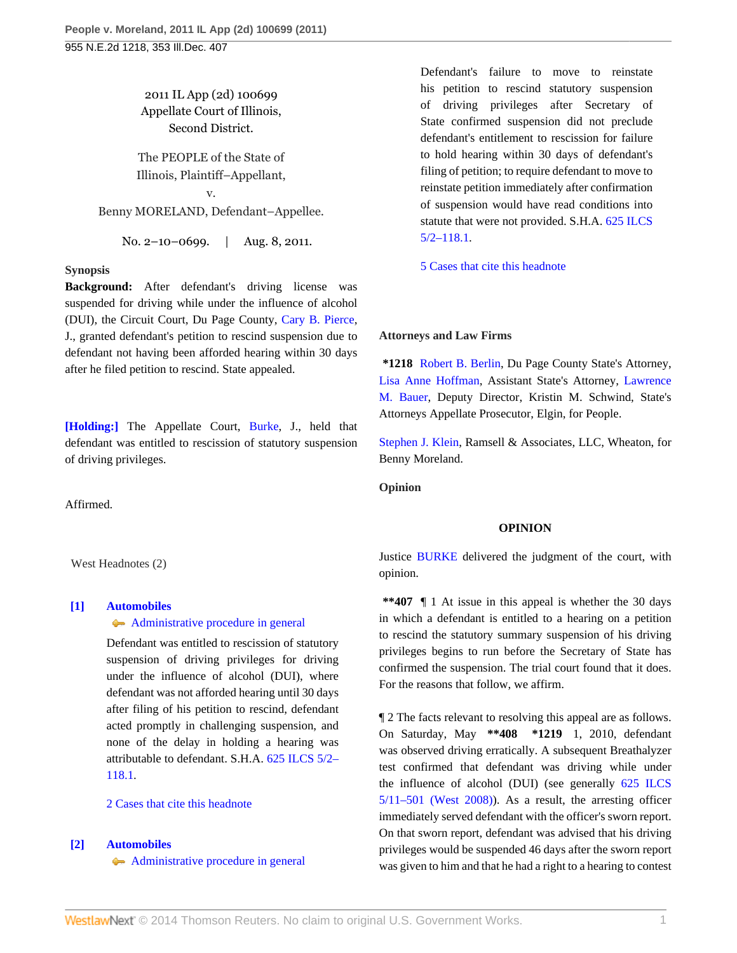2011 IL App (2d) 100699 Appellate Court of Illinois, Second District.

The PEOPLE of the State of Illinois, Plaintiff–Appellant,

v. Benny MORELAND, Defendant–Appellee.

No. 2–10–0699. | Aug. 8, 2011.

### **Synopsis**

**Background:** After defendant's driving license was suspended for driving while under the influence of alcohol (DUI), the Circuit Court, Du Page County, [Cary B. Pierce](http://www.westlaw.com/Link/Document/FullText?findType=h&pubNum=176284&cite=0206631401&originatingDoc=If7ed8e42c4f411e093b4f77be4dcecfa&refType=RQ&originationContext=document&vr=3.0&rs=cblt1.0&transitionType=DocumentItem&contextData=(sc.Search)), J., granted defendant's petition to rescind suspension due to defendant not having been afforded hearing within 30 days after he filed petition to rescind. State appealed.

**[\[Holding:\]](#page-0-0)** The Appellate Court, [Burke,](http://www.westlaw.com/Link/Document/FullText?findType=h&pubNum=176284&cite=0290207601&originatingDoc=If7ed8e42c4f411e093b4f77be4dcecfa&refType=RQ&originationContext=document&vr=3.0&rs=cblt1.0&transitionType=DocumentItem&contextData=(sc.Search)) J., held that defendant was entitled to rescission of statutory suspension of driving privileges.

Affirmed.

West Headnotes (2)

#### <span id="page-0-0"></span>**[\[1\]](#page-1-0) [Automobiles](http://www.westlaw.com/Browse/Home/KeyNumber/48A/View.html?docGuid=If7ed8e42c4f411e093b4f77be4dcecfa&originationContext=document&vr=3.0&rs=cblt1.0&transitionType=DocumentItem&contextData=(sc.Search))**

# [Administrative procedure in general](http://www.westlaw.com/Browse/Home/KeyNumber/48Ak144.2(1)/View.html?docGuid=If7ed8e42c4f411e093b4f77be4dcecfa&originationContext=document&vr=3.0&rs=cblt1.0&transitionType=DocumentItem&contextData=(sc.Search))

Defendant was entitled to rescission of statutory suspension of driving privileges for driving under the influence of alcohol (DUI), where defendant was not afforded hearing until 30 days after filing of his petition to rescind, defendant acted promptly in challenging suspension, and none of the delay in holding a hearing was attributable to defendant. S.H.A. [625 ILCS 5/2–](http://www.westlaw.com/Link/Document/FullText?findType=L&pubNum=1000008&cite=IL625S5%2f2-118.1&originatingDoc=If7ed8e42c4f411e093b4f77be4dcecfa&refType=LQ&originationContext=document&vr=3.0&rs=cblt1.0&transitionType=DocumentItem&contextData=(sc.Search)) [118.1](http://www.westlaw.com/Link/Document/FullText?findType=L&pubNum=1000008&cite=IL625S5%2f2-118.1&originatingDoc=If7ed8e42c4f411e093b4f77be4dcecfa&refType=LQ&originationContext=document&vr=3.0&rs=cblt1.0&transitionType=DocumentItem&contextData=(sc.Search)).

#### [2 Cases that cite this headnote](http://www.westlaw.com/Link/RelatedInformation/DocHeadnoteLink?docGuid=If7ed8e42c4f411e093b4f77be4dcecfa&headnoteId=202585572000120120221215847&originationContext=document&vr=3.0&rs=cblt1.0&transitionType=CitingReferences&contextData=(sc.Search))

### <span id="page-0-1"></span>**[\[2\]](#page-2-0) [Automobiles](http://www.westlaw.com/Browse/Home/KeyNumber/48A/View.html?docGuid=If7ed8e42c4f411e093b4f77be4dcecfa&originationContext=document&vr=3.0&rs=cblt1.0&transitionType=DocumentItem&contextData=(sc.Search))**

[Administrative procedure in general](http://www.westlaw.com/Browse/Home/KeyNumber/48Ak144.2(1)/View.html?docGuid=If7ed8e42c4f411e093b4f77be4dcecfa&originationContext=document&vr=3.0&rs=cblt1.0&transitionType=DocumentItem&contextData=(sc.Search))

Defendant's failure to move to reinstate his petition to rescind statutory suspension of driving privileges after Secretary of State confirmed suspension did not preclude defendant's entitlement to rescission for failure to hold hearing within 30 days of defendant's filing of petition; to require defendant to move to reinstate petition immediately after confirmation of suspension would have read conditions into statute that were not provided. S.H.A. [625 ILCS](http://www.westlaw.com/Link/Document/FullText?findType=L&pubNum=1000008&cite=IL625S5%2f2-118.1&originatingDoc=If7ed8e42c4f411e093b4f77be4dcecfa&refType=LQ&originationContext=document&vr=3.0&rs=cblt1.0&transitionType=DocumentItem&contextData=(sc.Search)) [5/2–118.1.](http://www.westlaw.com/Link/Document/FullText?findType=L&pubNum=1000008&cite=IL625S5%2f2-118.1&originatingDoc=If7ed8e42c4f411e093b4f77be4dcecfa&refType=LQ&originationContext=document&vr=3.0&rs=cblt1.0&transitionType=DocumentItem&contextData=(sc.Search))

[5 Cases that cite this headnote](http://www.westlaw.com/Link/RelatedInformation/DocHeadnoteLink?docGuid=If7ed8e42c4f411e093b4f77be4dcecfa&headnoteId=202585572000220120221215847&originationContext=document&vr=3.0&rs=cblt1.0&transitionType=CitingReferences&contextData=(sc.Search))

#### **Attorneys and Law Firms**

**\*1218** [Robert B. Berlin](http://www.westlaw.com/Link/Document/FullText?findType=h&pubNum=176284&cite=0146657101&originatingDoc=If7ed8e42c4f411e093b4f77be4dcecfa&refType=RQ&originationContext=document&vr=3.0&rs=cblt1.0&transitionType=DocumentItem&contextData=(sc.Search)), Du Page County State's Attorney, [Lisa Anne Hoffman,](http://www.westlaw.com/Link/Document/FullText?findType=h&pubNum=176284&cite=0215767401&originatingDoc=If7ed8e42c4f411e093b4f77be4dcecfa&refType=RQ&originationContext=document&vr=3.0&rs=cblt1.0&transitionType=DocumentItem&contextData=(sc.Search)) Assistant State's Attorney, [Lawrence](http://www.westlaw.com/Link/Document/FullText?findType=h&pubNum=176284&cite=0182654301&originatingDoc=If7ed8e42c4f411e093b4f77be4dcecfa&refType=RQ&originationContext=document&vr=3.0&rs=cblt1.0&transitionType=DocumentItem&contextData=(sc.Search)) [M. Bauer,](http://www.westlaw.com/Link/Document/FullText?findType=h&pubNum=176284&cite=0182654301&originatingDoc=If7ed8e42c4f411e093b4f77be4dcecfa&refType=RQ&originationContext=document&vr=3.0&rs=cblt1.0&transitionType=DocumentItem&contextData=(sc.Search)) Deputy Director, Kristin M. Schwind, State's Attorneys Appellate Prosecutor, Elgin, for People.

[Stephen J. Klein](http://www.westlaw.com/Link/Document/FullText?findType=h&pubNum=176284&cite=0427046601&originatingDoc=If7ed8e42c4f411e093b4f77be4dcecfa&refType=RQ&originationContext=document&vr=3.0&rs=cblt1.0&transitionType=DocumentItem&contextData=(sc.Search)), Ramsell & Associates, LLC, Wheaton, for Benny Moreland.

**Opinion**

#### **OPINION**

Justice [BURKE](http://www.westlaw.com/Link/Document/FullText?findType=h&pubNum=176284&cite=0290207601&originatingDoc=If7ed8e42c4f411e093b4f77be4dcecfa&refType=RQ&originationContext=document&vr=3.0&rs=cblt1.0&transitionType=DocumentItem&contextData=(sc.Search)) delivered the judgment of the court, with opinion.

**\*\*407** ¶ 1 At issue in this appeal is whether the 30 days in which a defendant is entitled to a hearing on a petition to rescind the statutory summary suspension of his driving privileges begins to run before the Secretary of State has confirmed the suspension. The trial court found that it does. For the reasons that follow, we affirm.

¶ 2 The facts relevant to resolving this appeal are as follows. On Saturday, May **\*\*408 \*1219** 1, 2010, defendant was observed driving erratically. A subsequent Breathalyzer test confirmed that defendant was driving while under the influence of alcohol (DUI) (see generally [625 ILCS](http://www.westlaw.com/Link/Document/FullText?findType=L&pubNum=1000008&cite=IL625S5%2f11-501&originatingDoc=If7ed8e42c4f411e093b4f77be4dcecfa&refType=LQ&originationContext=document&vr=3.0&rs=cblt1.0&transitionType=DocumentItem&contextData=(sc.Search)) [5/11–501 \(West 2008\)\)](http://www.westlaw.com/Link/Document/FullText?findType=L&pubNum=1000008&cite=IL625S5%2f11-501&originatingDoc=If7ed8e42c4f411e093b4f77be4dcecfa&refType=LQ&originationContext=document&vr=3.0&rs=cblt1.0&transitionType=DocumentItem&contextData=(sc.Search)). As a result, the arresting officer immediately served defendant with the officer's sworn report. On that sworn report, defendant was advised that his driving privileges would be suspended 46 days after the sworn report was given to him and that he had a right to a hearing to contest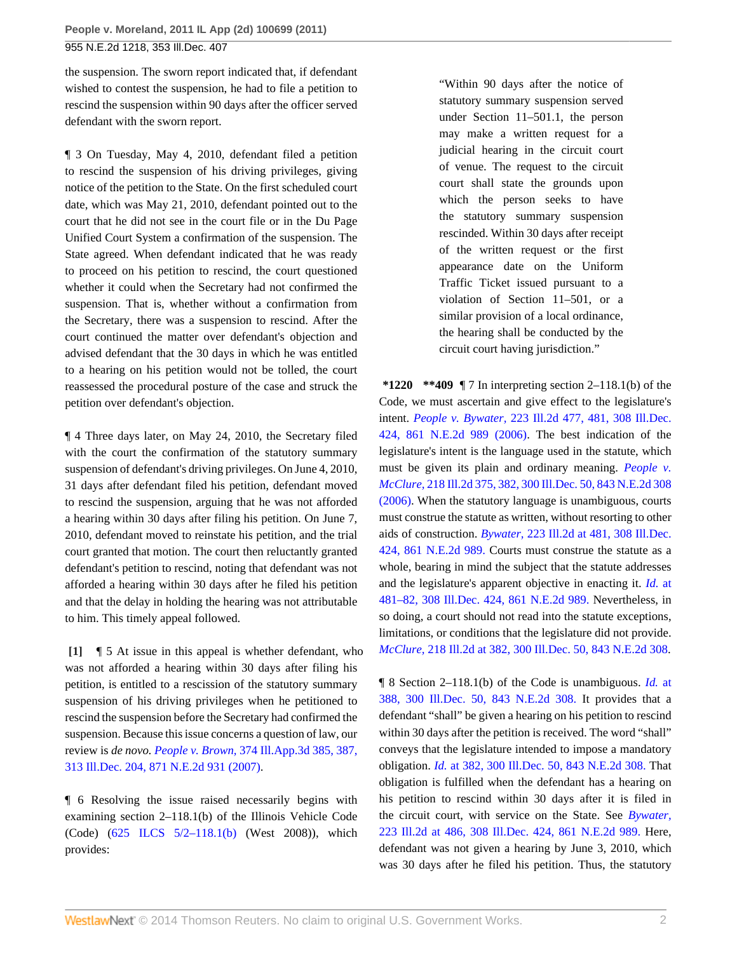the suspension. The sworn report indicated that, if defendant wished to contest the suspension, he had to file a petition to rescind the suspension within 90 days after the officer served defendant with the sworn report.

¶ 3 On Tuesday, May 4, 2010, defendant filed a petition to rescind the suspension of his driving privileges, giving notice of the petition to the State. On the first scheduled court date, which was May 21, 2010, defendant pointed out to the court that he did not see in the court file or in the Du Page Unified Court System a confirmation of the suspension. The State agreed. When defendant indicated that he was ready to proceed on his petition to rescind, the court questioned whether it could when the Secretary had not confirmed the suspension. That is, whether without a confirmation from the Secretary, there was a suspension to rescind. After the court continued the matter over defendant's objection and advised defendant that the 30 days in which he was entitled to a hearing on his petition would not be tolled, the court reassessed the procedural posture of the case and struck the petition over defendant's objection.

¶ 4 Three days later, on May 24, 2010, the Secretary filed with the court the confirmation of the statutory summary suspension of defendant's driving privileges. On June 4, 2010, 31 days after defendant filed his petition, defendant moved to rescind the suspension, arguing that he was not afforded a hearing within 30 days after filing his petition. On June 7, 2010, defendant moved to reinstate his petition, and the trial court granted that motion. The court then reluctantly granted defendant's petition to rescind, noting that defendant was not afforded a hearing within 30 days after he filed his petition and that the delay in holding the hearing was not attributable to him. This timely appeal followed.

<span id="page-1-0"></span>**[\[1\]](#page-0-0)** ¶ 5 At issue in this appeal is whether defendant, who was not afforded a hearing within 30 days after filing his petition, is entitled to a rescission of the statutory summary suspension of his driving privileges when he petitioned to rescind the suspension before the Secretary had confirmed the suspension. Because this issue concerns a question of law, our review is *de novo. People v. Brown,* [374 Ill.App.3d 385, 387,](http://www.westlaw.com/Link/Document/FullText?findType=Y&serNum=2012628140&pubNum=578&originationContext=document&vr=3.0&rs=cblt1.0&transitionType=DocumentItem&contextData=(sc.Search)) [313 Ill.Dec. 204, 871 N.E.2d 931 \(2007\)](http://www.westlaw.com/Link/Document/FullText?findType=Y&serNum=2012628140&pubNum=578&originationContext=document&vr=3.0&rs=cblt1.0&transitionType=DocumentItem&contextData=(sc.Search)).

¶ 6 Resolving the issue raised necessarily begins with examining section 2–118.1(b) of the Illinois Vehicle Code (Code) ([625 ILCS 5/2–118.1\(b\)](http://www.westlaw.com/Link/Document/FullText?findType=L&pubNum=1000008&cite=IL625S5%2f2-118.1&originatingDoc=If7ed8e42c4f411e093b4f77be4dcecfa&refType=SP&originationContext=document&vr=3.0&rs=cblt1.0&transitionType=DocumentItem&contextData=(sc.Search)#co_pp_a83b000018c76) (West 2008)), which provides:

"Within 90 days after the notice of statutory summary suspension served under Section 11–501.1, the person may make a written request for a judicial hearing in the circuit court of venue. The request to the circuit court shall state the grounds upon which the person seeks to have the statutory summary suspension rescinded. Within 30 days after receipt of the written request or the first appearance date on the Uniform Traffic Ticket issued pursuant to a violation of Section 11–501, or a similar provision of a local ordinance, the hearing shall be conducted by the circuit court having jurisdiction."

**\*1220 \*\*409** ¶ 7 In interpreting section 2–118.1(b) of the Code, we must ascertain and give effect to the legislature's intent. *People v. Bywater,* [223 Ill.2d 477, 481, 308 Ill.Dec.](http://www.westlaw.com/Link/Document/FullText?findType=Y&serNum=2010955100&pubNum=578&originationContext=document&vr=3.0&rs=cblt1.0&transitionType=DocumentItem&contextData=(sc.Search)) [424, 861 N.E.2d 989 \(2006\).](http://www.westlaw.com/Link/Document/FullText?findType=Y&serNum=2010955100&pubNum=578&originationContext=document&vr=3.0&rs=cblt1.0&transitionType=DocumentItem&contextData=(sc.Search)) The best indication of the legislature's intent is the language used in the statute, which must be given its plain and ordinary meaning. *[People v.](http://www.westlaw.com/Link/Document/FullText?findType=Y&serNum=2008226944&pubNum=578&originationContext=document&vr=3.0&rs=cblt1.0&transitionType=DocumentItem&contextData=(sc.Search)) McClure,* [218 Ill.2d 375, 382, 300 Ill.Dec. 50, 843 N.E.2d 308](http://www.westlaw.com/Link/Document/FullText?findType=Y&serNum=2008226944&pubNum=578&originationContext=document&vr=3.0&rs=cblt1.0&transitionType=DocumentItem&contextData=(sc.Search)) [\(2006\).](http://www.westlaw.com/Link/Document/FullText?findType=Y&serNum=2008226944&pubNum=578&originationContext=document&vr=3.0&rs=cblt1.0&transitionType=DocumentItem&contextData=(sc.Search)) When the statutory language is unambiguous, courts must construe the statute as written, without resorting to other aids of construction. *Bywater,* [223 Ill.2d at 481, 308 Ill.Dec.](http://www.westlaw.com/Link/Document/FullText?findType=Y&serNum=2010955100&pubNum=578&originationContext=document&vr=3.0&rs=cblt1.0&transitionType=DocumentItem&contextData=(sc.Search)) [424, 861 N.E.2d 989.](http://www.westlaw.com/Link/Document/FullText?findType=Y&serNum=2010955100&pubNum=578&originationContext=document&vr=3.0&rs=cblt1.0&transitionType=DocumentItem&contextData=(sc.Search)) Courts must construe the statute as a whole, bearing in mind the subject that the statute addresses and the legislature's apparent objective in enacting it. *Id.* [at](http://www.westlaw.com/Link/Document/FullText?findType=Y&serNum=2010955100&pubNum=578&originationContext=document&vr=3.0&rs=cblt1.0&transitionType=DocumentItem&contextData=(sc.Search)) [481–82, 308 Ill.Dec. 424, 861 N.E.2d 989.](http://www.westlaw.com/Link/Document/FullText?findType=Y&serNum=2010955100&pubNum=578&originationContext=document&vr=3.0&rs=cblt1.0&transitionType=DocumentItem&contextData=(sc.Search)) Nevertheless, in so doing, a court should not read into the statute exceptions, limitations, or conditions that the legislature did not provide. *McClure,* [218 Ill.2d at 382, 300 Ill.Dec. 50, 843 N.E.2d 308.](http://www.westlaw.com/Link/Document/FullText?findType=Y&serNum=2008226944&pubNum=578&originationContext=document&vr=3.0&rs=cblt1.0&transitionType=DocumentItem&contextData=(sc.Search))

¶ 8 Section 2–118.1(b) of the Code is unambiguous. *Id.* [at](http://www.westlaw.com/Link/Document/FullText?findType=Y&serNum=2008226944&pubNum=578&originationContext=document&vr=3.0&rs=cblt1.0&transitionType=DocumentItem&contextData=(sc.Search)) [388, 300 Ill.Dec. 50, 843 N.E.2d 308.](http://www.westlaw.com/Link/Document/FullText?findType=Y&serNum=2008226944&pubNum=578&originationContext=document&vr=3.0&rs=cblt1.0&transitionType=DocumentItem&contextData=(sc.Search)) It provides that a defendant "shall" be given a hearing on his petition to rescind within 30 days after the petition is received. The word "shall" conveys that the legislature intended to impose a mandatory obligation. *Id.* [at 382, 300 Ill.Dec. 50, 843 N.E.2d 308.](http://www.westlaw.com/Link/Document/FullText?findType=Y&serNum=2008226944&pubNum=578&originationContext=document&vr=3.0&rs=cblt1.0&transitionType=DocumentItem&contextData=(sc.Search)) That obligation is fulfilled when the defendant has a hearing on his petition to rescind within 30 days after it is filed in the circuit court, with service on the State. See *[Bywater,](http://www.westlaw.com/Link/Document/FullText?findType=Y&serNum=2010955100&pubNum=578&originationContext=document&vr=3.0&rs=cblt1.0&transitionType=DocumentItem&contextData=(sc.Search))* [223 Ill.2d at 486, 308 Ill.Dec. 424, 861 N.E.2d 989.](http://www.westlaw.com/Link/Document/FullText?findType=Y&serNum=2010955100&pubNum=578&originationContext=document&vr=3.0&rs=cblt1.0&transitionType=DocumentItem&contextData=(sc.Search)) Here, defendant was not given a hearing by June 3, 2010, which was 30 days after he filed his petition. Thus, the statutory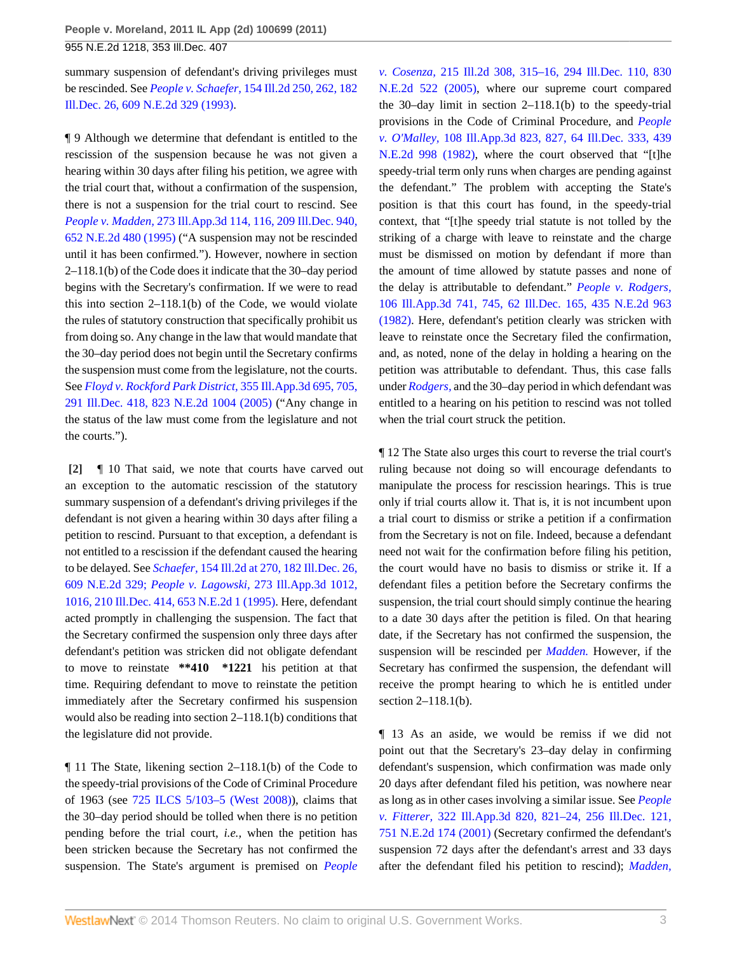summary suspension of defendant's driving privileges must be rescinded. See *People v. Schaefer,* [154 Ill.2d 250, 262, 182](http://www.westlaw.com/Link/Document/FullText?findType=Y&serNum=1993059424&pubNum=578&originationContext=document&vr=3.0&rs=cblt1.0&transitionType=DocumentItem&contextData=(sc.Search)) [Ill.Dec. 26, 609 N.E.2d 329 \(1993\).](http://www.westlaw.com/Link/Document/FullText?findType=Y&serNum=1993059424&pubNum=578&originationContext=document&vr=3.0&rs=cblt1.0&transitionType=DocumentItem&contextData=(sc.Search))

¶ 9 Although we determine that defendant is entitled to the rescission of the suspension because he was not given a hearing within 30 days after filing his petition, we agree with the trial court that, without a confirmation of the suspension, there is not a suspension for the trial court to rescind. See *People v. Madden,* [273 Ill.App.3d 114, 116, 209 Ill.Dec. 940,](http://www.westlaw.com/Link/Document/FullText?findType=Y&serNum=1995140739&pubNum=578&originationContext=document&vr=3.0&rs=cblt1.0&transitionType=DocumentItem&contextData=(sc.Search)) [652 N.E.2d 480 \(1995\)](http://www.westlaw.com/Link/Document/FullText?findType=Y&serNum=1995140739&pubNum=578&originationContext=document&vr=3.0&rs=cblt1.0&transitionType=DocumentItem&contextData=(sc.Search)) ("A suspension may not be rescinded until it has been confirmed."). However, nowhere in section 2–118.1(b) of the Code does it indicate that the 30–day period begins with the Secretary's confirmation. If we were to read this into section  $2-118.1(b)$  of the Code, we would violate the rules of statutory construction that specifically prohibit us from doing so. Any change in the law that would mandate that the 30–day period does not begin until the Secretary confirms the suspension must come from the legislature, not the courts. See *[Floyd v. Rockford Park District,](http://www.westlaw.com/Link/Document/FullText?findType=Y&serNum=2006087176&pubNum=578&originationContext=document&vr=3.0&rs=cblt1.0&transitionType=DocumentItem&contextData=(sc.Search))* 355 Ill.App.3d 695, 705, [291 Ill.Dec. 418, 823 N.E.2d 1004 \(2005\)](http://www.westlaw.com/Link/Document/FullText?findType=Y&serNum=2006087176&pubNum=578&originationContext=document&vr=3.0&rs=cblt1.0&transitionType=DocumentItem&contextData=(sc.Search)) ("Any change in the status of the law must come from the legislature and not the courts.").

<span id="page-2-0"></span>**[\[2\]](#page-0-1)** ¶ 10 That said, we note that courts have carved out an exception to the automatic rescission of the statutory summary suspension of a defendant's driving privileges if the defendant is not given a hearing within 30 days after filing a petition to rescind. Pursuant to that exception, a defendant is not entitled to a rescission if the defendant caused the hearing to be delayed. See *Schaefer,* [154 Ill.2d at 270, 182 Ill.Dec. 26,](http://www.westlaw.com/Link/Document/FullText?findType=Y&serNum=1993059424&pubNum=578&originationContext=document&vr=3.0&rs=cblt1.0&transitionType=DocumentItem&contextData=(sc.Search)) [609 N.E.2d 329;](http://www.westlaw.com/Link/Document/FullText?findType=Y&serNum=1993059424&pubNum=578&originationContext=document&vr=3.0&rs=cblt1.0&transitionType=DocumentItem&contextData=(sc.Search)) *People v. Lagowski,* [273 Ill.App.3d 1012,](http://www.westlaw.com/Link/Document/FullText?findType=Y&serNum=1995153913&pubNum=578&originationContext=document&vr=3.0&rs=cblt1.0&transitionType=DocumentItem&contextData=(sc.Search)) [1016, 210 Ill.Dec. 414, 653 N.E.2d 1 \(1995\).](http://www.westlaw.com/Link/Document/FullText?findType=Y&serNum=1995153913&pubNum=578&originationContext=document&vr=3.0&rs=cblt1.0&transitionType=DocumentItem&contextData=(sc.Search)) Here, defendant acted promptly in challenging the suspension. The fact that the Secretary confirmed the suspension only three days after defendant's petition was stricken did not obligate defendant to move to reinstate **\*\*410 \*1221** his petition at that time. Requiring defendant to move to reinstate the petition immediately after the Secretary confirmed his suspension would also be reading into section 2–118.1(b) conditions that the legislature did not provide.

¶ 11 The State, likening section 2–118.1(b) of the Code to the speedy-trial provisions of the Code of Criminal Procedure of 1963 (see [725 ILCS 5/103–5 \(West 2008\)](http://www.westlaw.com/Link/Document/FullText?findType=L&pubNum=1000008&cite=ILSTC725S5%2f103-5&originatingDoc=If7ed8e42c4f411e093b4f77be4dcecfa&refType=LQ&originationContext=document&vr=3.0&rs=cblt1.0&transitionType=DocumentItem&contextData=(sc.Search))), claims that the 30–day period should be tolled when there is no petition pending before the trial court, *i.e.,* when the petition has been stricken because the Secretary has not confirmed the suspension. The State's argument is premised on *[People](http://www.westlaw.com/Link/Document/FullText?findType=Y&serNum=2006611654&pubNum=578&originationContext=document&vr=3.0&rs=cblt1.0&transitionType=DocumentItem&contextData=(sc.Search))* *v. Cosenza,* [215 Ill.2d 308, 315–16, 294 Ill.Dec. 110, 830](http://www.westlaw.com/Link/Document/FullText?findType=Y&serNum=2006611654&pubNum=578&originationContext=document&vr=3.0&rs=cblt1.0&transitionType=DocumentItem&contextData=(sc.Search)) [N.E.2d 522 \(2005\)](http://www.westlaw.com/Link/Document/FullText?findType=Y&serNum=2006611654&pubNum=578&originationContext=document&vr=3.0&rs=cblt1.0&transitionType=DocumentItem&contextData=(sc.Search)), where our supreme court compared the 30–day limit in section 2–118.1(b) to the speedy-trial provisions in the Code of Criminal Procedure, and *[People](http://www.westlaw.com/Link/Document/FullText?findType=Y&serNum=1982137764&pubNum=578&originationContext=document&vr=3.0&rs=cblt1.0&transitionType=DocumentItem&contextData=(sc.Search)) v. O'Malley,* [108 Ill.App.3d 823, 827, 64 Ill.Dec. 333, 439](http://www.westlaw.com/Link/Document/FullText?findType=Y&serNum=1982137764&pubNum=578&originationContext=document&vr=3.0&rs=cblt1.0&transitionType=DocumentItem&contextData=(sc.Search)) [N.E.2d 998 \(1982\),](http://www.westlaw.com/Link/Document/FullText?findType=Y&serNum=1982137764&pubNum=578&originationContext=document&vr=3.0&rs=cblt1.0&transitionType=DocumentItem&contextData=(sc.Search)) where the court observed that "[t]he speedy-trial term only runs when charges are pending against the defendant." The problem with accepting the State's position is that this court has found, in the speedy-trial context, that "[t]he speedy trial statute is not tolled by the striking of a charge with leave to reinstate and the charge must be dismissed on motion by defendant if more than the amount of time allowed by statute passes and none of the delay is attributable to defendant." *[People v. Rodgers,](http://www.westlaw.com/Link/Document/FullText?findType=Y&serNum=1982126467&pubNum=578&originationContext=document&vr=3.0&rs=cblt1.0&transitionType=DocumentItem&contextData=(sc.Search))* [106 Ill.App.3d 741, 745, 62 Ill.Dec. 165, 435 N.E.2d 963](http://www.westlaw.com/Link/Document/FullText?findType=Y&serNum=1982126467&pubNum=578&originationContext=document&vr=3.0&rs=cblt1.0&transitionType=DocumentItem&contextData=(sc.Search)) [\(1982\).](http://www.westlaw.com/Link/Document/FullText?findType=Y&serNum=1982126467&pubNum=578&originationContext=document&vr=3.0&rs=cblt1.0&transitionType=DocumentItem&contextData=(sc.Search)) Here, defendant's petition clearly was stricken with leave to reinstate once the Secretary filed the confirmation, and, as noted, none of the delay in holding a hearing on the petition was attributable to defendant. Thus, this case falls under *[Rodgers,](http://www.westlaw.com/Link/Document/FullText?findType=Y&serNum=1982126467&originationContext=document&vr=3.0&rs=cblt1.0&transitionType=DocumentItem&contextData=(sc.Search))* and the 30–day period in which defendant was entitled to a hearing on his petition to rescind was not tolled when the trial court struck the petition.

¶ 12 The State also urges this court to reverse the trial court's ruling because not doing so will encourage defendants to manipulate the process for rescission hearings. This is true only if trial courts allow it. That is, it is not incumbent upon a trial court to dismiss or strike a petition if a confirmation from the Secretary is not on file. Indeed, because a defendant need not wait for the confirmation before filing his petition, the court would have no basis to dismiss or strike it. If a defendant files a petition before the Secretary confirms the suspension, the trial court should simply continue the hearing to a date 30 days after the petition is filed. On that hearing date, if the Secretary has not confirmed the suspension, the suspension will be rescinded per *[Madden.](http://www.westlaw.com/Link/Document/FullText?findType=Y&serNum=1995140739&originationContext=document&vr=3.0&rs=cblt1.0&transitionType=DocumentItem&contextData=(sc.Search))* However, if the Secretary has confirmed the suspension, the defendant will receive the prompt hearing to which he is entitled under section 2–118.1(b).

¶ 13 As an aside, we would be remiss if we did not point out that the Secretary's 23–day delay in confirming defendant's suspension, which confirmation was made only 20 days after defendant filed his petition, was nowhere near as long as in other cases involving a similar issue. See *[People](http://www.westlaw.com/Link/Document/FullText?findType=Y&serNum=2001491068&pubNum=578&originationContext=document&vr=3.0&rs=cblt1.0&transitionType=DocumentItem&contextData=(sc.Search)) v. Fitterer,* [322 Ill.App.3d 820, 821–24, 256 Ill.Dec. 121,](http://www.westlaw.com/Link/Document/FullText?findType=Y&serNum=2001491068&pubNum=578&originationContext=document&vr=3.0&rs=cblt1.0&transitionType=DocumentItem&contextData=(sc.Search)) [751 N.E.2d 174 \(2001\)](http://www.westlaw.com/Link/Document/FullText?findType=Y&serNum=2001491068&pubNum=578&originationContext=document&vr=3.0&rs=cblt1.0&transitionType=DocumentItem&contextData=(sc.Search)) (Secretary confirmed the defendant's suspension 72 days after the defendant's arrest and 33 days after the defendant filed his petition to rescind); *[Madden,](http://www.westlaw.com/Link/Document/FullText?findType=Y&serNum=1995140739&pubNum=578&originationContext=document&vr=3.0&rs=cblt1.0&transitionType=DocumentItem&contextData=(sc.Search))*